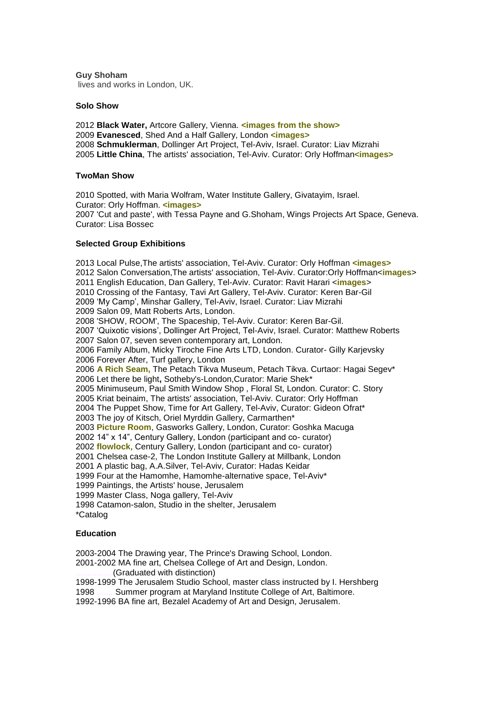**Guy Shoham** lives and works in London, UK.

### **Solo Show**

 **Black Water,** Artcore Gallery, Vienna. **[<images from the show>](http://www.guyshoham.com/blackwat.htm) Evanesced**, Shed And a Half Gallery, London **[<images>](http://www.guyshoham.com/evanescencexxx.htm) Schmuklerman**, Dollinger Art Project, Tel-Aviv, Israel. Curator: Liav Mizrahi **Little China**, The artists' association, Tel-Aviv. Curator: Orly Hoffman**[<images>](http://www.guyshoham.com/little1.htm)**

### **TwoMan Show**

2010 Spotted, with Maria Wolfram, Water Institute Gallery, Givatayim, Israel. Curator: Orly Hoffman. **[<images>](http://www.guyshoham.com/spotted/spotted.htm)** 2007 'Cut and paste', with Tessa Payne and G.Shoham, Wings Projects Art Space, Geneva. Curator: Lisa Bossec

### **Selected Group Exhibitions**

2013 Local Pulse,The artists' association, Tel-Aviv. Curator: Orly Hoffman **[<images>](http://www.guyshoham.com/dofek.htm)** 2012 Salon Conversation,The artists' association, Tel-Aviv. Curator:Orly Hoffman<**[images](http://www.guyshoham.com/salonconversat.htm)**> 2011 English Education, Dan Gallery, Tel-Aviv. Curator: Ravit Harari <**[images](http://www.guyshoham.com/English%20Educ.htm)**> 2010 Crossing of the Fantasy, Tavi Art Gallery, Tel-Aviv. Curator: Keren Bar-Gil 2009 'My Camp', Minshar Gallery, Tel-Aviv, Israel. Curator: Liav Mizrahi 2009 Salon 09, Matt Roberts Arts, London. 2008 'SHOW, ROOM', The Spaceship, Tel-Aviv. Curator: Keren Bar-Gil. 2007 'Quixotic visions', Dollinger Art Project, Tel-Aviv, Israel. Curator: Matthew Roberts 2007 Salon 07, seven seven contemporary art, London. 2006 Family Album, Micky Tiroche Fine Arts LTD, London. Curator- Gilly Karjevsky 2006 Forever After, Turf gallery, London 2006 **[A Rich Seam,](http://www.petachtikvamuseum.com/enExhs/Archive.aspx)** The Petach Tikva Museum, Petach Tikva. Curtaor: Hagai Segev\* 2006 Let there be light**,** Sotheby's-London,Curator: Marie Shek\* 2005 Minimuseum, Paul Smith Window Shop , Floral St, London. Curator: C. Story 2005 Kriat beinaim, The artists' association, Tel-Aviv. Curator: Orly Hoffman 2004 The Puppet Show, Time for Art Gallery, Tel-Aviv, Curator: Gideon Ofrat\* 2003 The joy of Kitsch, Oriel Myrddin Gallery, Carmarthen\* 2003 **[Picture Room](http://www.gasworks.org.uk/exhibitions/detail.php?id=97)**, Gasworks Gallery, London, Curator: Goshka Macuga 2002 14" x 14", Century Gallery, London (participant and co- curator) 2002 **[flowlock](http://www.centurygallery.org.uk/archive/2002/200209_12_flowlock.htm)**, Century Gallery, London (participant and co- curator) 2001 Chelsea case-2, The London Institute Gallery at Millbank, London 2001 A plastic bag, A.A.Silver, Tel-Aviv, Curator: Hadas Keidar 1999 Four at the Hamomhe, Hamomhe-alternative space, Tel-Aviv\* 1999 Paintings, the Artists' house, Jerusalem 1999 Master Class, Noga gallery, Tel-Aviv 1998 Catamon-salon, Studio in the shelter, Jerusalem \*Catalog

# **Education**

2003-2004 The Drawing year, The Prince's Drawing School, London.

2001-2002 MA fine art, Chelsea College of Art and Design, London.

(Graduated with distinction)

1998-1999 The Jerusalem Studio School, master class instructed by I. Hershberg 1998 ........Summer program at Maryland Institute College of Art, Baltimore.

1992-1996 BA fine art, Bezalel Academy of Art and Design, Jerusalem.